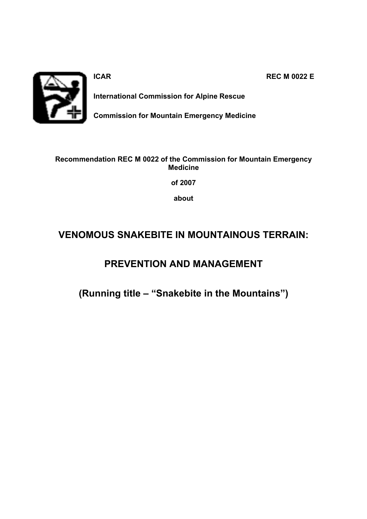

**ICAR REC M 0022 E** 

**International Commission for Alpine Rescue** 

**Commission for Mountain Emergency Medicine** 

### **Recommendation REC M 0022 of the Commission for Mountain Emergency Medicine**

**of 2007** 

**about** 

## **VENOMOUS SNAKEBITE IN MOUNTAINOUS TERRAIN:**

## **PREVENTION AND MANAGEMENT**

**(Running title – "Snakebite in the Mountains")**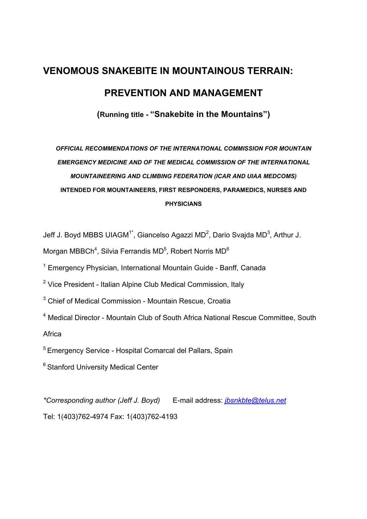# **VENOMOUS SNAKEBITE IN MOUNTAINOUS TERRAIN: PREVENTION AND MANAGEMENT**

**(Running title - "Snakebite in the Mountains")** 

*OFFICIAL RECOMMENDATIONS OF THE INTERNATIONAL COMMISSION FOR MOUNTAIN EMERGENCY MEDICINE AND OF THE MEDICAL COMMISSION OF THE INTERNATIONAL MOUNTAINEERING AND CLIMBING FEDERATION (ICAR AND UIAA MEDCOMS)*  **INTENDED FOR MOUNTAINEERS, FIRST RESPONDERS, PARAMEDICS, NURSES AND PHYSICIANS** 

Jeff J. Boyd MBBS UIAGM<sup>1\*</sup>, Giancelso Agazzi MD<sup>2</sup>, Dario Svajda MD<sup>3</sup>, Arthur J.

Morgan MBBCh<sup>4</sup>, Silvia Ferrandis MD<sup>5</sup>, Robert Norris MD<sup>6</sup>

<sup>1</sup> Emergency Physician, International Mountain Guide - Banff, Canada

<sup>2</sup> Vice President - Italian Alpine Club Medical Commission, Italy

<sup>3</sup> Chief of Medical Commission - Mountain Rescue, Croatia

<sup>4</sup> Medical Director - Mountain Club of South Africa National Rescue Committee, South Africa

5 Emergency Service - Hospital Comarcal del Pallars, Spain

<sup>6</sup> Stanford University Medical Center

*\*Corresponding author (Jeff J. Boyd)* E-mail address: *jbsnkbte@telus.net*

Tel: 1(403)762-4974 Fax: 1(403)762-4193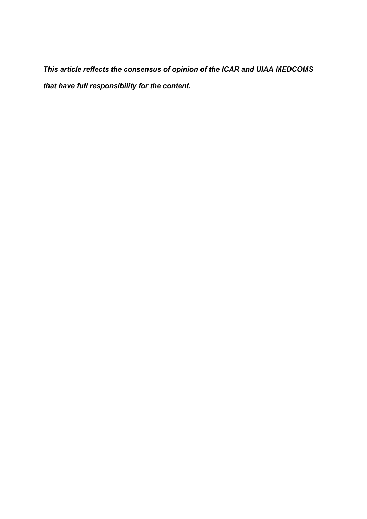*This article reflects the consensus of opinion of the ICAR and UIAA MEDCOMS that have full responsibility for the content.*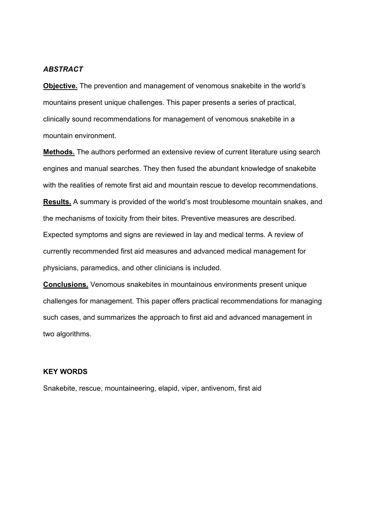#### *ABSTRACT*

**Objective.** The prevention and management of venomous snakebite in the world's mountains present unique challenges. This paper presents a series of practical, clinically sound recommendations for management of venomous snakebite in a mountain environment.

**Methods.** The authors performed an extensive review of current literature using search engines and manual searches. They then fused the abundant knowledge of snakebite with the realities of remote first aid and mountain rescue to develop recommendations. **Results.** A summary is provided of the world's most troublesome mountain snakes, and the mechanisms of toxicity from their bites. Preventive measures are described. Expected symptoms and signs are reviewed in lay and medical terms. A review of currently recommended first aid measures and advanced medical management for physicians, paramedics, and other clinicians is included.

**Conclusions.** Venomous snakebites in mountainous environments present unique challenges for management. This paper offers practical recommendations for managing such cases, and summarizes the approach to first aid and advanced management in two algorithms.

#### **KEY WORDS**

Snakebite, rescue, mountaineering, elapid, viper, antivenom, first aid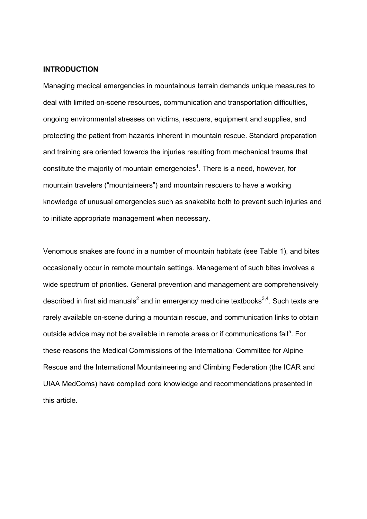#### **INTRODUCTION**

Managing medical emergencies in mountainous terrain demands unique measures to deal with limited on-scene resources, communication and transportation difficulties, ongoing environmental stresses on victims, rescuers, equipment and supplies, and protecting the patient from hazards inherent in mountain rescue. Standard preparation and training are oriented towards the injuries resulting from mechanical trauma that constitute the majority of mountain emergencies<sup>1</sup>. There is a need, however, for mountain travelers ("mountaineers") and mountain rescuers to have a working knowledge of unusual emergencies such as snakebite both to prevent such injuries and to initiate appropriate management when necessary.

Venomous snakes are found in a number of mountain habitats (see Table 1), and bites occasionally occur in remote mountain settings. Management of such bites involves a wide spectrum of priorities. General prevention and management are comprehensively described in first aid manuals<sup>2</sup> and in emergency medicine textbooks<sup>3,4</sup>. Such texts are rarely available on-scene during a mountain rescue, and communication links to obtain outside advice may not be available in remote areas or if communications fail<sup>5</sup>. For these reasons the Medical Commissions of the International Committee for Alpine Rescue and the International Mountaineering and Climbing Federation (the ICAR and UIAA MedComs) have compiled core knowledge and recommendations presented in this article.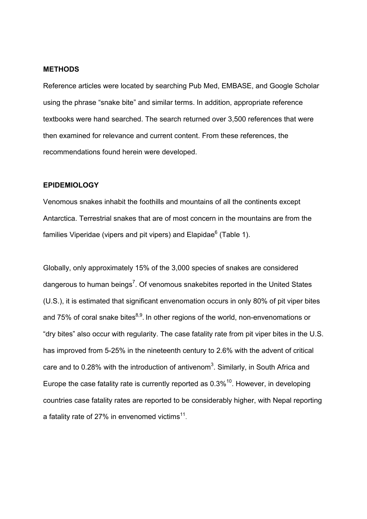#### **METHODS**

Reference articles were located by searching Pub Med, EMBASE, and Google Scholar using the phrase "snake bite" and similar terms. In addition, appropriate reference textbooks were hand searched. The search returned over 3,500 references that were then examined for relevance and current content. From these references, the recommendations found herein were developed.

#### **EPIDEMIOLOGY**

Venomous snakes inhabit the foothills and mountains of all the continents except Antarctica. Terrestrial snakes that are of most concern in the mountains are from the families Viperidae (vipers and pit vipers) and Elapidae<sup>6</sup> (Table 1).

Globally, only approximately 15% of the 3,000 species of snakes are considered dangerous to human beings<sup>7</sup>. Of venomous snakebites reported in the United States (U.S.), it is estimated that significant envenomation occurs in only 80% of pit viper bites and 75% of coral snake bites $^{8,9}$ . In other regions of the world, non-envenomations or "dry bites" also occur with regularity. The case fatality rate from pit viper bites in the U.S. has improved from 5-25% in the nineteenth century to 2.6% with the advent of critical care and to 0.28% with the introduction of antivenom<sup>3</sup>. Similarly, in South Africa and Europe the case fatality rate is currently reported as  $0.3\%$ <sup>10</sup>. However, in developing countries case fatality rates are reported to be considerably higher, with Nepal reporting a fatality rate of 27% in envenomed victims<sup>11</sup>.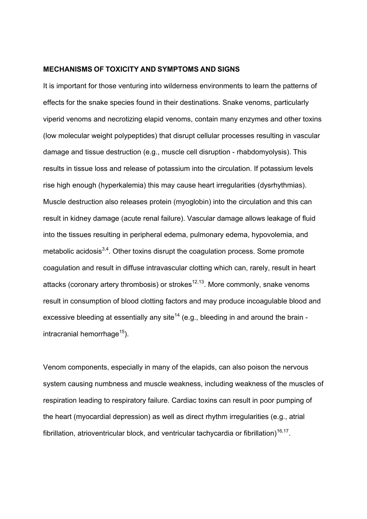#### **MECHANISMS OF TOXICITY AND SYMPTOMS AND SIGNS**

It is important for those venturing into wilderness environments to learn the patterns of effects for the snake species found in their destinations. Snake venoms, particularly viperid venoms and necrotizing elapid venoms, contain many enzymes and other toxins (low molecular weight polypeptides) that disrupt cellular processes resulting in vascular damage and tissue destruction (e.g., muscle cell disruption - rhabdomyolysis). This results in tissue loss and release of potassium into the circulation. If potassium levels rise high enough (hyperkalemia) this may cause heart irregularities (dysrhythmias). Muscle destruction also releases protein (myoglobin) into the circulation and this can result in kidney damage (acute renal failure). Vascular damage allows leakage of fluid into the tissues resulting in peripheral edema, pulmonary edema, hypovolemia, and metabolic acidosis $3,4$ . Other toxins disrupt the coagulation process. Some promote coagulation and result in diffuse intravascular clotting which can, rarely, result in heart attacks (coronary artery thrombosis) or strokes<sup>12,13</sup>. More commonly, snake venoms result in consumption of blood clotting factors and may produce incoagulable blood and excessive bleeding at essentially any site<sup>14</sup> (e.g., bleeding in and around the brain intracranial hemorrhage<sup>15</sup>).

Venom components, especially in many of the elapids, can also poison the nervous system causing numbness and muscle weakness, including weakness of the muscles of respiration leading to respiratory failure. Cardiac toxins can result in poor pumping of the heart (myocardial depression) as well as direct rhythm irregularities (e.g., atrial fibrillation, atrioventricular block, and ventricular tachycardia or fibrillation)<sup>16,17</sup>.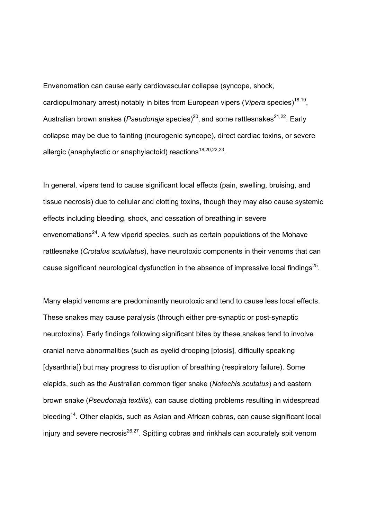Envenomation can cause early cardiovascular collapse (syncope, shock, cardiopulmonary arrest) notably in bites from European vipers (*Vipera* species)<sup>18,19</sup>, Australian brown snakes (*Pseudonaia* species)<sup>20</sup>, and some rattlesnakes<sup>21,22</sup>. Early collapse may be due to fainting (neurogenic syncope), direct cardiac toxins, or severe allergic (anaphylactic or anaphylactoid) reactions<sup>18,20,22,23</sup>.

In general, vipers tend to cause significant local effects (pain, swelling, bruising, and tissue necrosis) due to cellular and clotting toxins, though they may also cause systemic effects including bleeding, shock, and cessation of breathing in severe envenomations<sup>24</sup>. A few viperid species, such as certain populations of the Mohave rattlesnake (*Crotalus scutulatus*), have neurotoxic components in their venoms that can cause significant neurological dysfunction in the absence of impressive local findings<sup>25</sup>.

Many elapid venoms are predominantly neurotoxic and tend to cause less local effects. These snakes may cause paralysis (through either pre-synaptic or post-synaptic neurotoxins). Early findings following significant bites by these snakes tend to involve cranial nerve abnormalities (such as eyelid drooping [ptosis], difficulty speaking [dysarthria]) but may progress to disruption of breathing (respiratory failure). Some elapids, such as the Australian common tiger snake (*Notechis scutatus*) and eastern brown snake (*Pseudonaja textilis*), can cause clotting problems resulting in widespread bleeding<sup>14</sup>. Other elapids, such as Asian and African cobras, can cause significant local injury and severe necrosis $26,27$ . Spitting cobras and rinkhals can accurately spit venom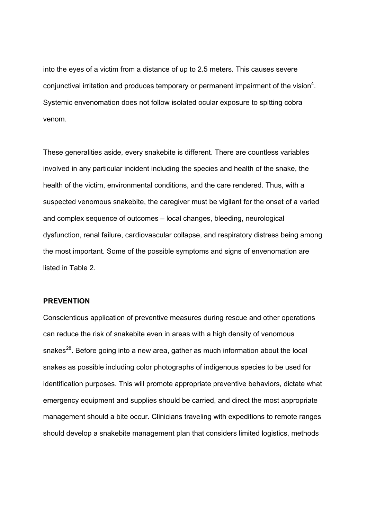into the eyes of a victim from a distance of up to 2.5 meters. This causes severe conjunctival irritation and produces temporary or permanent impairment of the vision<sup>4</sup>. Systemic envenomation does not follow isolated ocular exposure to spitting cobra venom.

These generalities aside, every snakebite is different. There are countless variables involved in any particular incident including the species and health of the snake, the health of the victim, environmental conditions, and the care rendered. Thus, with a suspected venomous snakebite, the caregiver must be vigilant for the onset of a varied and complex sequence of outcomes – local changes, bleeding, neurological dysfunction, renal failure, cardiovascular collapse, and respiratory distress being among the most important. Some of the possible symptoms and signs of envenomation are listed in Table 2.

#### **PREVENTION**

Conscientious application of preventive measures during rescue and other operations can reduce the risk of snakebite even in areas with a high density of venomous snakes $^{28}$ . Before going into a new area, gather as much information about the local snakes as possible including color photographs of indigenous species to be used for identification purposes. This will promote appropriate preventive behaviors, dictate what emergency equipment and supplies should be carried, and direct the most appropriate management should a bite occur. Clinicians traveling with expeditions to remote ranges should develop a snakebite management plan that considers limited logistics, methods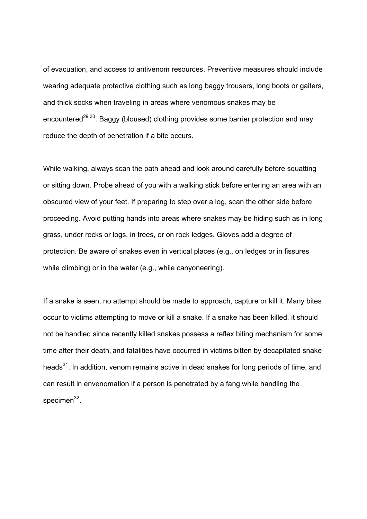of evacuation, and access to antivenom resources. Preventive measures should include wearing adequate protective clothing such as long baggy trousers, long boots or gaiters, and thick socks when traveling in areas where venomous snakes may be encountered<sup>29,30</sup>. Baggy (bloused) clothing provides some barrier protection and may reduce the depth of penetration if a bite occurs.

While walking, always scan the path ahead and look around carefully before squatting or sitting down. Probe ahead of you with a walking stick before entering an area with an obscured view of your feet. If preparing to step over a log, scan the other side before proceeding. Avoid putting hands into areas where snakes may be hiding such as in long grass, under rocks or logs, in trees, or on rock ledges. Gloves add a degree of protection. Be aware of snakes even in vertical places (e.g., on ledges or in fissures while climbing) or in the water (e.g., while canyoneering).

If a snake is seen, no attempt should be made to approach, capture or kill it. Many bites occur to victims attempting to move or kill a snake. If a snake has been killed, it should not be handled since recently killed snakes possess a reflex biting mechanism for some time after their death, and fatalities have occurred in victims bitten by decapitated snake heads $31$ . In addition, venom remains active in dead snakes for long periods of time, and can result in envenomation if a person is penetrated by a fang while handling the specimen $32$ .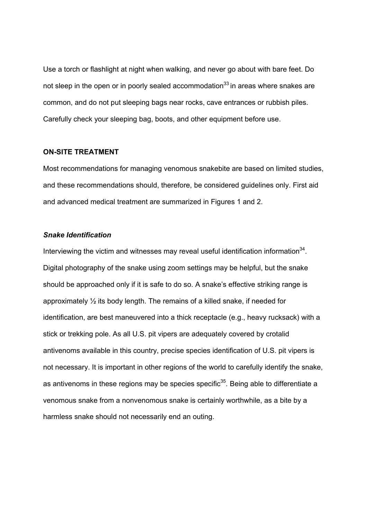Use a torch or flashlight at night when walking, and never go about with bare feet. Do not sleep in the open or in poorly sealed accommodation $^{33}$  in areas where snakes are common, and do not put sleeping bags near rocks, cave entrances or rubbish piles. Carefully check your sleeping bag, boots, and other equipment before use.

#### **ON-SITE TREATMENT**

Most recommendations for managing venomous snakebite are based on limited studies, and these recommendations should, therefore, be considered guidelines only. First aid and advanced medical treatment are summarized in Figures 1 and 2.

#### *Snake Identification*

Interviewing the victim and witnesses may reveal useful identification information $34$ . Digital photography of the snake using zoom settings may be helpful, but the snake should be approached only if it is safe to do so. A snake's effective striking range is approximately ½ its body length. The remains of a killed snake, if needed for identification, are best maneuvered into a thick receptacle (e.g., heavy rucksack) with a stick or trekking pole. As all U.S. pit vipers are adequately covered by crotalid antivenoms available in this country, precise species identification of U.S. pit vipers is not necessary. It is important in other regions of the world to carefully identify the snake, as antivenoms in these regions may be species specific<sup>35</sup>. Being able to differentiate a venomous snake from a nonvenomous snake is certainly worthwhile, as a bite by a harmless snake should not necessarily end an outing.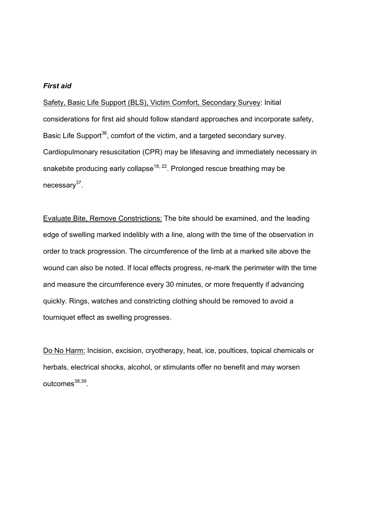#### *First aid*

Safety, Basic Life Support (BLS), Victim Comfort, Secondary Survey: Initial considerations for first aid should follow standard approaches and incorporate safety, Basic Life Support<sup>36</sup>, comfort of the victim, and a targeted secondary survey. Cardiopulmonary resuscitation (CPR) may be lifesaving and immediately necessary in snakebite producing early collapse<sup>18, 22</sup>. Prolonged rescue breathing may be necessar $v^{37}$ .

Evaluate Bite, Remove Constrictions: The bite should be examined, and the leading edge of swelling marked indelibly with a line, along with the time of the observation in order to track progression. The circumference of the limb at a marked site above the wound can also be noted. If local effects progress, re-mark the perimeter with the time and measure the circumference every 30 minutes, or more frequently if advancing quickly. Rings, watches and constricting clothing should be removed to avoid a tourniquet effect as swelling progresses.

Do No Harm: Incision, excision, cryotherapy, heat, ice, poultices, topical chemicals or herbals, electrical shocks, alcohol, or stimulants offer no benefit and may worsen outcomes<sup>38,39</sup>.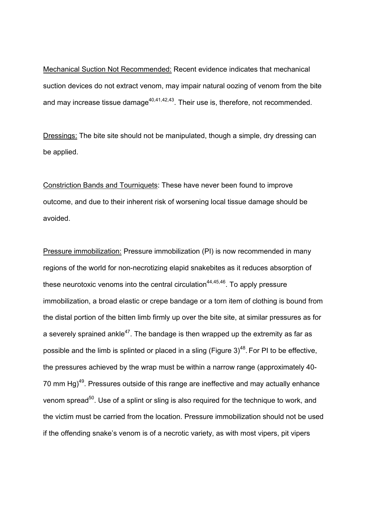Mechanical Suction Not Recommended: Recent evidence indicates that mechanical suction devices do not extract venom, may impair natural oozing of venom from the bite and may increase tissue damage $40,41,42,43$ . Their use is, therefore, not recommended.

Dressings: The bite site should not be manipulated, though a simple, dry dressing can be applied.

Constriction Bands and Tourniquets: These have never been found to improve outcome, and due to their inherent risk of worsening local tissue damage should be avoided.

Pressure immobilization: Pressure immobilization (PI) is now recommended in many regions of the world for non-necrotizing elapid snakebites as it reduces absorption of these neurotoxic venoms into the central circulation $44,45,46$ . To apply pressure immobilization, a broad elastic or crepe bandage or a torn item of clothing is bound from the distal portion of the bitten limb firmly up over the bite site, at similar pressures as for a severely sprained ankle<sup>47</sup>. The bandage is then wrapped up the extremity as far as possible and the limb is splinted or placed in a sling (Figure  $3<sup>48</sup>$ . For PI to be effective, the pressures achieved by the wrap must be within a narrow range (approximately 40- 70 mm Hg)<sup>49</sup>. Pressures outside of this range are ineffective and may actually enhance venom spread $50$ . Use of a splint or sling is also required for the technique to work, and the victim must be carried from the location. Pressure immobilization should not be used if the offending snake's venom is of a necrotic variety, as with most vipers, pit vipers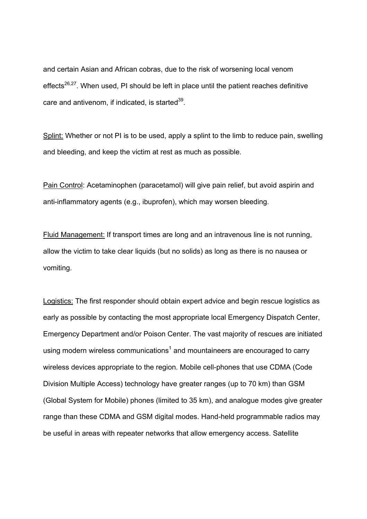and certain Asian and African cobras, due to the risk of worsening local venom effects<sup>26,27</sup>. When used. PI should be left in place until the patient reaches definitive care and antivenom, if indicated, is started $39$ .

Splint: Whether or not PI is to be used, apply a splint to the limb to reduce pain, swelling and bleeding, and keep the victim at rest as much as possible.

Pain Control: Acetaminophen (paracetamol) will give pain relief, but avoid aspirin and anti-inflammatory agents (e.g., ibuprofen), which may worsen bleeding.

Fluid Management: If transport times are long and an intravenous line is not running, allow the victim to take clear liquids (but no solids) as long as there is no nausea or vomiting.

Logistics: The first responder should obtain expert advice and begin rescue logistics as early as possible by contacting the most appropriate local Emergency Dispatch Center, Emergency Department and/or Poison Center. The vast majority of rescues are initiated using modern wireless communications<sup>1</sup> and mountaineers are encouraged to carry wireless devices appropriate to the region. Mobile cell-phones that use CDMA (Code Division Multiple Access) technology have greater ranges (up to 70 km) than GSM (Global System for Mobile) phones (limited to 35 km), and analogue modes give greater range than these CDMA and GSM digital modes. Hand-held programmable radios may be useful in areas with repeater networks that allow emergency access. Satellite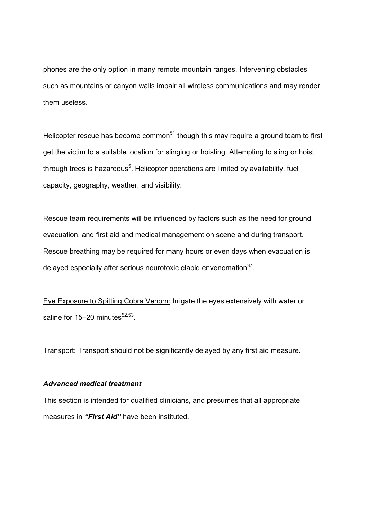phones are the only option in many remote mountain ranges. Intervening obstacles such as mountains or canyon walls impair all wireless communications and may render them useless.

Helicopter rescue has become common $51$  though this may require a ground team to first get the victim to a suitable location for slinging or hoisting. Attempting to sling or hoist through trees is hazardous<sup>5</sup>. Helicopter operations are limited by availability, fuel capacity, geography, weather, and visibility.

Rescue team requirements will be influenced by factors such as the need for ground evacuation, and first aid and medical management on scene and during transport. Rescue breathing may be required for many hours or even days when evacuation is delayed especially after serious neurotoxic elapid envenomation $37$ .

Eye Exposure to Spitting Cobra Venom: Irrigate the eyes extensively with water or saline for  $15-20$  minutes<sup>52,53</sup>.

Transport: Transport should not be significantly delayed by any first aid measure.

#### *Advanced medical treatment*

This section is intended for qualified clinicians, and presumes that all appropriate measures in *"First Aid"* have been instituted.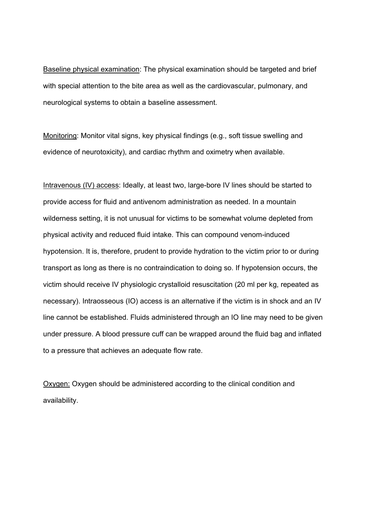Baseline physical examination: The physical examination should be targeted and brief with special attention to the bite area as well as the cardiovascular, pulmonary, and neurological systems to obtain a baseline assessment.

Monitoring: Monitor vital signs, key physical findings (e.g., soft tissue swelling and evidence of neurotoxicity), and cardiac rhythm and oximetry when available.

Intravenous (IV) access: Ideally, at least two, large-bore IV lines should be started to provide access for fluid and antivenom administration as needed. In a mountain wilderness setting, it is not unusual for victims to be somewhat volume depleted from physical activity and reduced fluid intake. This can compound venom-induced hypotension. It is, therefore, prudent to provide hydration to the victim prior to or during transport as long as there is no contraindication to doing so. If hypotension occurs, the victim should receive IV physiologic crystalloid resuscitation (20 ml per kg, repeated as necessary). Intraosseous (IO) access is an alternative if the victim is in shock and an IV line cannot be established. Fluids administered through an IO line may need to be given under pressure. A blood pressure cuff can be wrapped around the fluid bag and inflated to a pressure that achieves an adequate flow rate.

Oxygen: Oxygen should be administered according to the clinical condition and availability.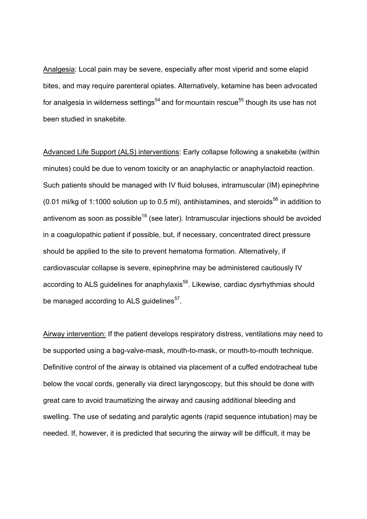Analgesia: Local pain may be severe, especially after most viperid and some elapid bites, and may require parenteral opiates. Alternatively, ketamine has been advocated for analgesia in wilderness settings<sup>54</sup> and for mountain rescue<sup>55</sup> though its use has not been studied in snakebite.

Advanced Life Support (ALS) interventions: Early collapse following a snakebite (within minutes) could be due to venom toxicity or an anaphylactic or anaphylactoid reaction. Such patients should be managed with IV fluid boluses, intramuscular (IM) epinephrine (0.01 ml/kg of 1:1000 solution up to 0.5 ml), antihistamines, and steroids<sup>56</sup> in addition to antivenom as soon as possible<sup>18</sup> (see later). Intramuscular injections should be avoided in a coagulopathic patient if possible, but, if necessary, concentrated direct pressure should be applied to the site to prevent hematoma formation. Alternatively, if cardiovascular collapse is severe, epinephrine may be administered cautiously IV according to ALS guidelines for anaphylaxis<sup>56</sup>. Likewise, cardiac dysrhythmias should be managed according to ALS guidelines<sup>57</sup>.

Airway intervention: If the patient develops respiratory distress, ventilations may need to be supported using a bag-valve-mask, mouth-to-mask, or mouth-to-mouth technique. Definitive control of the airway is obtained via placement of a cuffed endotracheal tube below the vocal cords, generally via direct laryngoscopy, but this should be done with great care to avoid traumatizing the airway and causing additional bleeding and swelling. The use of sedating and paralytic agents (rapid sequence intubation) may be needed. If, however, it is predicted that securing the airway will be difficult, it may be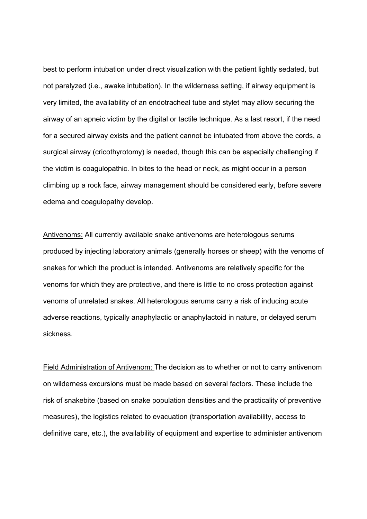best to perform intubation under direct visualization with the patient lightly sedated, but not paralyzed (i.e., awake intubation). In the wilderness setting, if airway equipment is very limited, the availability of an endotracheal tube and stylet may allow securing the airway of an apneic victim by the digital or tactile technique. As a last resort, if the need for a secured airway exists and the patient cannot be intubated from above the cords, a surgical airway (cricothyrotomy) is needed, though this can be especially challenging if the victim is coagulopathic. In bites to the head or neck, as might occur in a person climbing up a rock face, airway management should be considered early, before severe edema and coagulopathy develop.

Antivenoms: All currently available snake antivenoms are heterologous serums produced by injecting laboratory animals (generally horses or sheep) with the venoms of snakes for which the product is intended. Antivenoms are relatively specific for the venoms for which they are protective, and there is little to no cross protection against venoms of unrelated snakes. All heterologous serums carry a risk of inducing acute adverse reactions, typically anaphylactic or anaphylactoid in nature, or delayed serum sickness.

Field Administration of Antivenom: The decision as to whether or not to carry antivenom on wilderness excursions must be made based on several factors. These include the risk of snakebite (based on snake population densities and the practicality of preventive measures), the logistics related to evacuation (transportation availability, access to definitive care, etc.), the availability of equipment and expertise to administer antivenom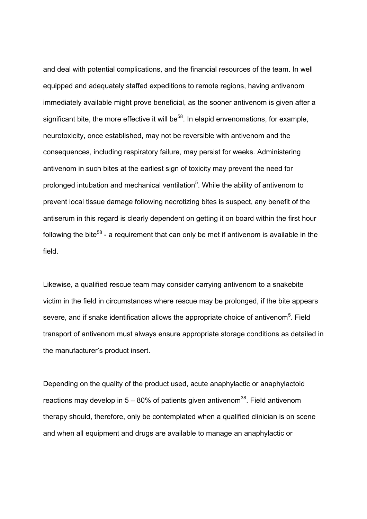and deal with potential complications, and the financial resources of the team. In well equipped and adequately staffed expeditions to remote regions, having antivenom immediately available might prove beneficial, as the sooner antivenom is given after a significant bite, the more effective it will be<sup>58</sup>. In elapid envenomations, for example, neurotoxicity, once established, may not be reversible with antivenom and the consequences, including respiratory failure, may persist for weeks. Administering antivenom in such bites at the earliest sign of toxicity may prevent the need for prolonged intubation and mechanical ventilation<sup>5</sup>. While the ability of antivenom to prevent local tissue damage following necrotizing bites is suspect, any benefit of the antiserum in this regard is clearly dependent on getting it on board within the first hour following the bite<sup>58</sup> - a requirement that can only be met if antivenom is available in the field.

Likewise, a qualified rescue team may consider carrying antivenom to a snakebite victim in the field in circumstances where rescue may be prolonged, if the bite appears severe, and if snake identification allows the appropriate choice of antivenom<sup>5</sup>. Field transport of antivenom must always ensure appropriate storage conditions as detailed in the manufacturer's product insert.

Depending on the quality of the product used, acute anaphylactic or anaphylactoid reactions may develop in  $5 - 80\%$  of patients given antivenom<sup>38</sup>. Field antivenom therapy should, therefore, only be contemplated when a qualified clinician is on scene and when all equipment and drugs are available to manage an anaphylactic or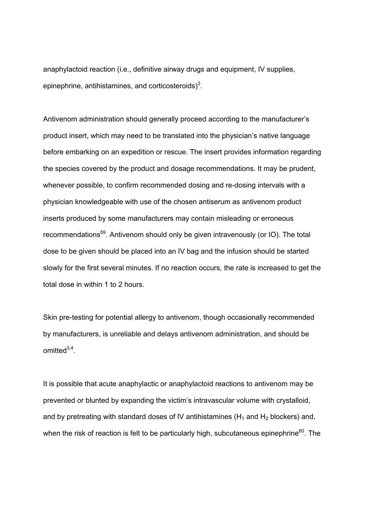anaphylactoid reaction (i.e., definitive airway drugs and equipment, IV supplies, epinephrine, antihistamines, and corticosteroids)<sup>3</sup>.

Antivenom administration should generally proceed according to the manufacturer's product insert, which may need to be translated into the physician's native language before embarking on an expedition or rescue. The insert provides information regarding the species covered by the product and dosage recommendations. It may be prudent, whenever possible, to confirm recommended dosing and re-dosing intervals with a physician knowledgeable with use of the chosen antiserum as antivenom product inserts produced by some manufacturers may contain misleading or erroneous recommendations<sup>59</sup>. Antivenom should only be given intravenously (or IO). The total dose to be given should be placed into an IV bag and the infusion should be started slowly for the first several minutes. If no reaction occurs, the rate is increased to get the total dose in within 1 to 2 hours.

Skin pre-testing for potential allergy to antivenom, though occasionally recommended by manufacturers, is unreliable and delays antivenom administration, and should be omitted $3,4$ .

It is possible that acute anaphylactic or anaphylactoid reactions to antivenom may be prevented or blunted by expanding the victim's intravascular volume with crystalloid, and by pretreating with standard doses of IV antihistamines ( $H_1$  and  $H_2$  blockers) and, when the risk of reaction is felt to be particularly high, subcutaneous epinephrine<sup>60</sup>. The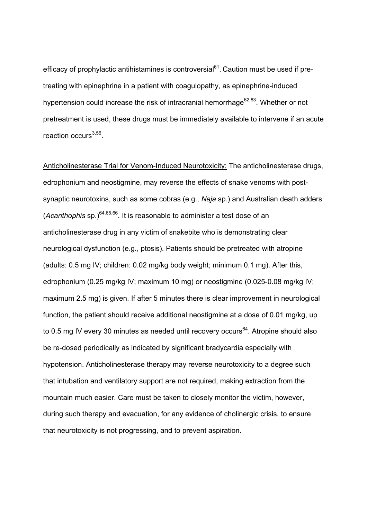efficacy of prophylactic antihistamines is controversial $61$ . Caution must be used if pretreating with epinephrine in a patient with coagulopathy, as epinephrine-induced hypertension could increase the risk of intracranial hemorrhage<sup>62,63</sup>. Whether or not pretreatment is used, these drugs must be immediately available to intervene if an acute reaction occurs $3,56$ .

Anticholinesterase Trial for Venom-Induced Neurotoxicity: The anticholinesterase drugs, edrophonium and neostigmine, may reverse the effects of snake venoms with postsynaptic neurotoxins, such as some cobras (e.g., *Naja* sp.) and Australian death adders (*Acanthophis* sp.)64,65,66. It is reasonable to administer a test dose of an anticholinesterase drug in any victim of snakebite who is demonstrating clear neurological dysfunction (e.g., ptosis). Patients should be pretreated with atropine (adults: 0.5 mg IV; children: 0.02 mg/kg body weight; minimum 0.1 mg). After this, edrophonium (0.25 mg/kg IV; maximum 10 mg) or neostigmine (0.025-0.08 mg/kg IV; maximum 2.5 mg) is given. If after 5 minutes there is clear improvement in neurological function, the patient should receive additional neostigmine at a dose of 0.01 mg/kg, up to 0.5 mg IV every 30 minutes as needed until recovery occurs<sup>64</sup>. Atropine should also be re-dosed periodically as indicated by significant bradycardia especially with hypotension. Anticholinesterase therapy may reverse neurotoxicity to a degree such that intubation and ventilatory support are not required, making extraction from the mountain much easier. Care must be taken to closely monitor the victim, however, during such therapy and evacuation, for any evidence of cholinergic crisis, to ensure that neurotoxicity is not progressing, and to prevent aspiration.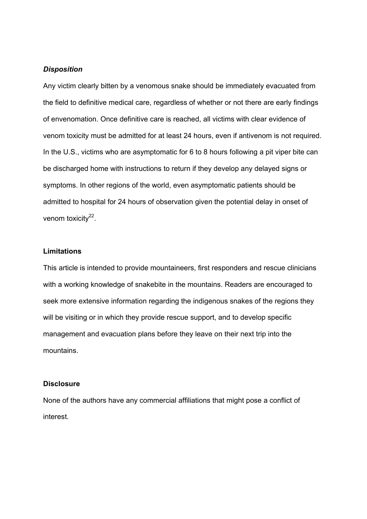#### *Disposition*

Any victim clearly bitten by a venomous snake should be immediately evacuated from the field to definitive medical care, regardless of whether or not there are early findings of envenomation. Once definitive care is reached, all victims with clear evidence of venom toxicity must be admitted for at least 24 hours, even if antivenom is not required. In the U.S., victims who are asymptomatic for 6 to 8 hours following a pit viper bite can be discharged home with instructions to return if they develop any delayed signs or symptoms. In other regions of the world, even asymptomatic patients should be admitted to hospital for 24 hours of observation given the potential delay in onset of venom toxicity $2^2$ .

#### **Limitations**

This article is intended to provide mountaineers, first responders and rescue clinicians with a working knowledge of snakebite in the mountains. Readers are encouraged to seek more extensive information regarding the indigenous snakes of the regions they will be visiting or in which they provide rescue support, and to develop specific management and evacuation plans before they leave on their next trip into the mountains.

#### **Disclosure**

None of the authors have any commercial affiliations that might pose a conflict of interest.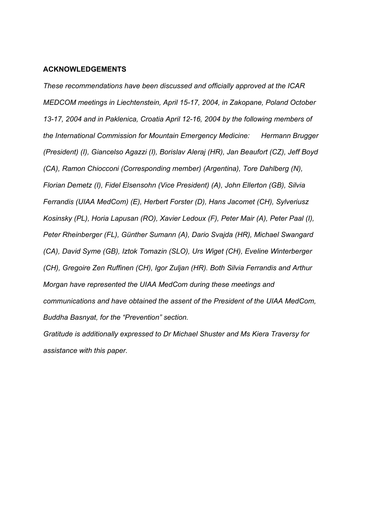#### **ACKNOWLEDGEMENTS**

*These recommendations have been discussed and officially approved at the ICAR MEDCOM meetings in Liechtenstein, April 15-17, 2004, in Zakopane, Poland October 13-17, 2004 and in Paklenica, Croatia April 12-16, 2004 by the following members of the International Commission for Mountain Emergency Medicine: Hermann Brugger (President) (I), Giancelso Agazzi (I), Borislav Aleraj (HR), Jan Beaufort (CZ), Jeff Boyd (CA), Ramon Chiocconi (Corresponding member) (Argentina), Tore Dahlberg (N), Florian Demetz (I), Fidel Elsensohn (Vice President) (A), John Ellerton (GB), Silvia Ferrandis (UIAA MedCom) (E), Herbert Forster (D), Hans Jacomet (CH), Sylveriusz Kosinsky (PL), Horia Lapusan (RO), Xavier Ledoux (F), Peter Mair (A), Peter Paal (I), Peter Rheinberger (FL), Günther Sumann (A), Dario Svajda (HR), Michael Swangard (CA), David Syme (GB), Iztok Tomazin (SLO), Urs Wiget (CH), Eveline Winterberger (CH), Gregoire Zen Ruffinen (CH), Igor Zuljan (HR). Both Silvia Ferrandis and Arthur Morgan have represented the UIAA MedCom during these meetings and communications and have obtained the assent of the President of the UIAA MedCom, Buddha Basnyat, for the "Prevention" section.* 

*Gratitude is additionally expressed to Dr Michael Shuster and Ms Kiera Traversy for assistance with this paper.*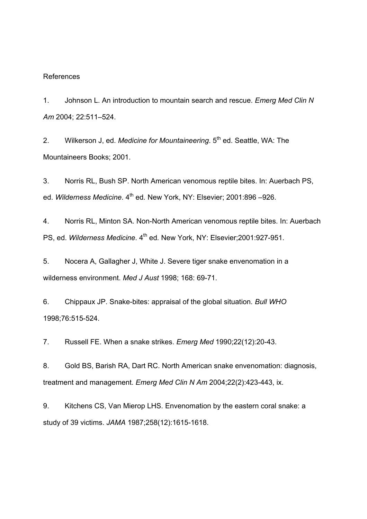#### References

1. Johnson L. An introduction to mountain search and rescue. *Emerg Med Clin N Am* 2004; 22:511–524.

2. Wilkerson J, ed. *Medicine for Mountaineering*. 5<sup>th</sup> ed. Seattle, WA: The Mountaineers Books; 2001.

3. Norris RL, Bush SP. North American venomous reptile bites. In: Auerbach PS, ed. Wilderness Medicine. 4<sup>th</sup> ed. New York, NY: Elsevier; 2001:896-926.

4. Norris RL, Minton SA. Non-North American venomous reptile bites. In: Auerbach PS, ed. Wilderness Medicine. 4<sup>th</sup> ed. New York, NY: Elsevier;2001:927-951.

5. Nocera A, Gallagher J, White J. Severe tiger snake envenomation in a wilderness environment. *Med J Aust* 1998; 168: 69-71.

6. Chippaux JP. Snake-bites: appraisal of the global situation. *Bull WHO* 1998;76:515-524.

7. Russell FE. When a snake strikes. *Emerg Med* 1990;22(12):20-43.

8. Gold BS, Barish RA, Dart RC. North American snake envenomation: diagnosis, treatment and management. *Emerg Med Clin N Am* 2004;22(2):423-443, ix.

9. Kitchens CS, Van Mierop LHS. Envenomation by the eastern coral snake: a study of 39 victims. *JAMA* 1987;258(12):1615-1618.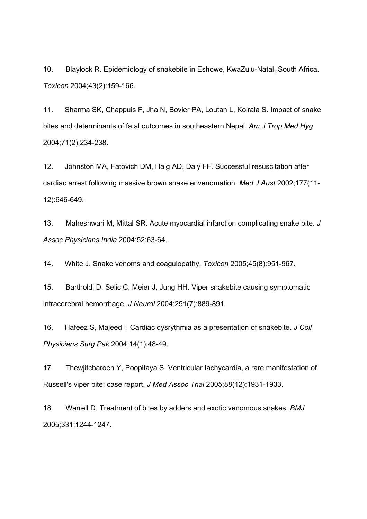10. Blaylock R. Epidemiology of snakebite in Eshowe, KwaZulu-Natal, South Africa. *Toxicon* 2004;43(2):159-166.

11. Sharma SK, Chappuis F, Jha N, Bovier PA, Loutan L, Koirala S. Impact of snake bites and determinants of fatal outcomes in southeastern Nepal. *Am J Trop Med Hyg*  2004;71(2):234-238.

12. Johnston MA, Fatovich DM, Haig AD, Daly FF. Successful resuscitation after cardiac arrest following massive brown snake envenomation. *Med J Aust* 2002;177(11- 12):646-649.

13. Maheshwari M, Mittal SR. Acute myocardial infarction complicating snake bite. *J Assoc Physicians India* 2004;52:63-64.

14. White J. Snake venoms and coagulopathy. *Toxicon* 2005;45(8):951-967.

15. Bartholdi D, Selic C, Meier J, Jung HH. Viper snakebite causing symptomatic intracerebral hemorrhage. *J Neurol* 2004;251(7):889-891.

16. Hafeez S, Majeed I. Cardiac dysrythmia as a presentation of snakebite. *J Coll Physicians Surg Pak* 2004;14(1):48-49.

17. Thewjitcharoen Y, Poopitaya S. Ventricular tachycardia, a rare manifestation of Russell's viper bite: case report. *J Med Assoc Thai* 2005;88(12):1931-1933.

18. Warrell D. Treatment of bites by adders and exotic venomous snakes. *BMJ*  2005;331:1244-1247.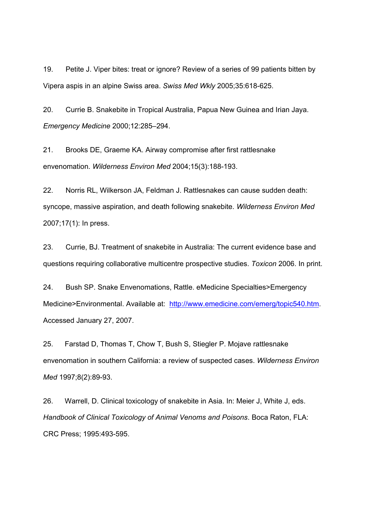19. Petite J. Viper bites: treat or ignore? Review of a series of 99 patients bitten by Vipera aspis in an alpine Swiss area. *Swiss Med Wkly* 2005;35:618-625.

20. Currie B. Snakebite in Tropical Australia, Papua New Guinea and Irian Jaya. *Emergency Medicine* 2000;12:285–294.

21. Brooks DE, Graeme KA. Airway compromise after first rattlesnake envenomation. *Wilderness Environ Med* 2004;15(3):188-193.

22. Norris RL, Wilkerson JA, Feldman J. Rattlesnakes can cause sudden death: syncope, massive aspiration, and death following snakebite. *Wilderness Environ Med* 2007;17(1): In press.

23. Currie, BJ. Treatment of snakebite in Australia: The current evidence base and questions requiring collaborative multicentre prospective studies. *Toxicon* 2006. In print.

24. Bush SP. Snake Envenomations, Rattle. eMedicine Specialties>Emergency Medicine>Environmental. Available at: http://www.emedicine.com/emerg/topic540.htm. Accessed January 27, 2007.

25. Farstad D, Thomas T, Chow T, Bush S, Stiegler P. Mojave rattlesnake envenomation in southern California: a review of suspected cases. *Wilderness Environ Med* 1997;8(2):89-93.

26. Warrell, D. Clinical toxicology of snakebite in Asia. In: Meier J, White J, eds. *Handbook of Clinical Toxicology of Animal Venoms and Poisons*. Boca Raton, FLA: CRC Press; 1995:493-595.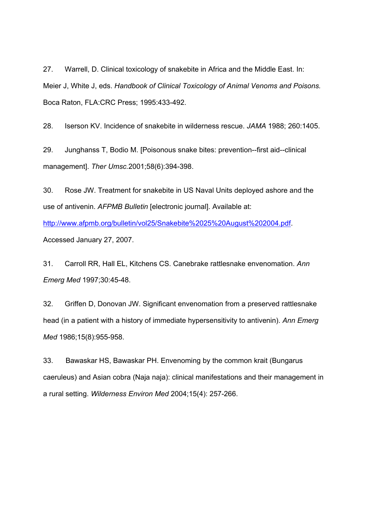27. Warrell, D. Clinical toxicology of snakebite in Africa and the Middle East. In: Meier J, White J, eds. *Handbook of Clinical Toxicology of Animal Venoms and Poisons.* Boca Raton, FLA:CRC Press; 1995:433-492.

28. Iserson KV. Incidence of snakebite in wilderness rescue. *JAMA* 1988; 260:1405.

29. Junghanss T, Bodio M. [Poisonous snake bites: prevention--first aid--clinical management]. *Ther Umsc.*2001;58(6):394-398.

30. Rose JW. Treatment for snakebite in US Naval Units deployed ashore and the use of antivenin. *AFPMB Bulletin* [electronic journal]. Available at:

http://www.afpmb.org/bulletin/vol25/Snakebite%2025%20August%202004.pdf. Accessed January 27, 2007.

31. Carroll RR, Hall EL, Kitchens CS. Canebrake rattlesnake envenomation. *Ann Emerg Med* 1997;30:45-48.

32. Griffen D, Donovan JW. Significant envenomation from a preserved rattlesnake head (in a patient with a history of immediate hypersensitivity to antivenin). *Ann Emerg Med* 1986;15(8):955-958.

33. Bawaskar HS, Bawaskar PH. Envenoming by the common krait (Bungarus caeruleus) and Asian cobra (Naja naja): clinical manifestations and their management in a rural setting. *Wilderness Environ Med* 2004;15(4): 257-266.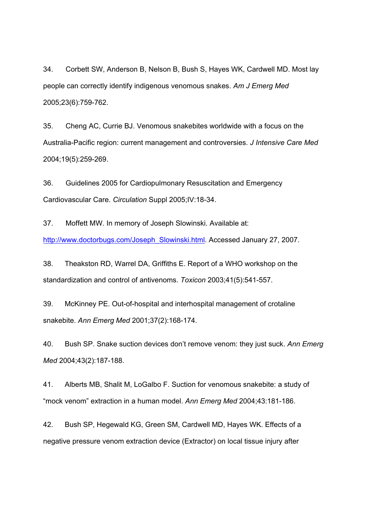34. Corbett SW, Anderson B, Nelson B, Bush S, Hayes WK, Cardwell MD. Most lay people can correctly identify indigenous venomous snakes. *Am J Emerg Med* 2005;23(6):759-762.

35. Cheng AC, Currie BJ. Venomous snakebites worldwide with a focus on the Australia-Pacific region: current management and controversies. *J Intensive Care Med* 2004;19(5):259-269.

36. Guidelines 2005 for Cardiopulmonary Resuscitation and Emergency Cardiovascular Care. *Circulation* Suppl 2005;IV:18-34.

37. Moffett MW. In memory of Joseph Slowinski. Available at: http://www.doctorbugs.com/Joseph\_Slowinski.html. Accessed January 27, 2007.

38. Theakston RD, Warrel DA, Griffiths E. Report of a WHO workshop on the standardization and control of antivenoms. *Toxicon* 2003;41(5):541-557.

39. McKinney PE. Out-of-hospital and interhospital management of crotaline snakebite. *Ann Emerg Med* 2001;37(2):168-174.

40. Bush SP. Snake suction devices don't remove venom: they just suck. *Ann Emerg Med* 2004;43(2):187-188.

41. Alberts MB, Shalit M, LoGalbo F. Suction for venomous snakebite: a study of "mock venom" extraction in a human model. *Ann Emerg Med* 2004;43:181-186.

42. Bush SP, Hegewald KG, Green SM, Cardwell MD, Hayes WK. Effects of a negative pressure venom extraction device (Extractor) on local tissue injury after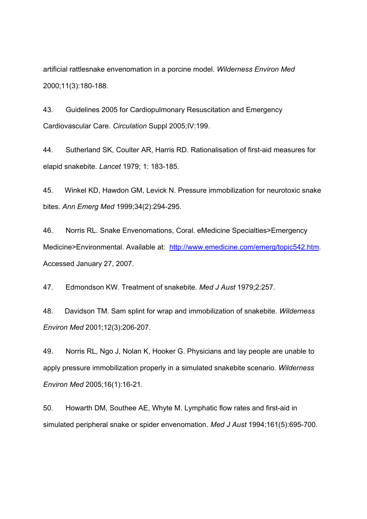artificial rattlesnake envenomation in a porcine model. *Wilderness Environ Med* 2000;11(3):180-188.

43. Guidelines 2005 for Cardiopulmonary Resuscitation and Emergency Cardiovascular Care. *Circulation* Suppl 2005;IV:199.

44. Sutherland SK, Coulter AR, Harris RD. Rationalisation of first-aid measures for elapid snakebite. *Lancet* 1979; 1: 183-185.

45. Winkel KD, Hawdon GM, Levick N. Pressure immobilization for neurotoxic snake bites. *Ann Emerg Med* 1999;34(2):294-295.

46. Norris RL. Snake Envenomations, Coral. eMedicine Specialties>Emergency Medicine>Environmental. Available at: http://www.emedicine.com/emerg/topic542.htm. Accessed January 27, 2007.

47. Edmondson KW. Treatment of snakebite. *Med J Aust* 1979;2:257.

48. Davidson TM. Sam splint for wrap and immobilization of snakebite. *Wilderness Environ Med* 2001;12(3):206-207.

49. Norris RL, Ngo J, Nolan K, Hooker G. Physicians and lay people are unable to apply pressure immobilization properly in a simulated snakebite scenario. *Wilderness Environ Med* 2005;16(1):16-21.

50. Howarth DM, Southee AE, Whyte M. Lymphatic flow rates and first-aid in simulated peripheral snake or spider envenomation. *Med J Aust* 1994;161(5):695-700.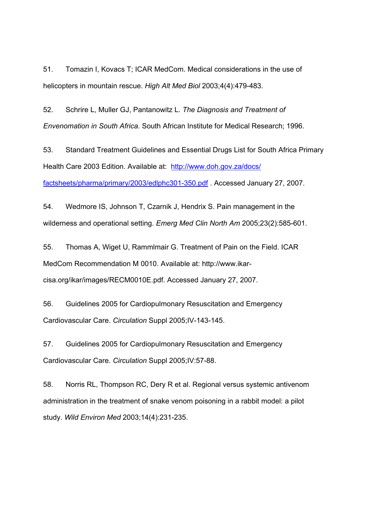51. Tomazin I, Kovacs T; ICAR MedCom. Medical considerations in the use of helicopters in mountain rescue. *High Alt Med Biol* 2003;4(4):479-483.

52. Schrire L, Muller GJ, Pantanowitz L. *The Diagnosis and Treatment of Envenomation in South Africa.* South African Institute for Medical Research; 1996.

53. Standard Treatment Guidelines and Essential Drugs List for South Africa Primary Health Care 2003 Edition. Available at: http://www.doh.gov.za/docs/ factsheets/pharma/primary/2003/edlphc301-350.pdf . Accessed January 27, 2007.

54. Wedmore IS, Johnson T, Czarnik J, Hendrix S. Pain management in the wilderness and operational setting. *Emerg Med Clin North Am* 2005;23(2):585-601.

55. Thomas A, Wiget U, Rammlmair G. Treatment of Pain on the Field. ICAR MedCom Recommendation M 0010. Available at: http://www.ikarcisa.org/ikar/images/RECM0010E.pdf. Accessed January 27, 2007.

56. Guidelines 2005 for Cardiopulmonary Resuscitation and Emergency Cardiovascular Care. *Circulation* Suppl 2005;IV-143-145.

57. Guidelines 2005 for Cardiopulmonary Resuscitation and Emergency Cardiovascular Care. *Circulation* Suppl 2005;IV:57-88.

58. Norris RL, Thompson RC, Dery R et al. Regional versus systemic antivenom administration in the treatment of snake venom poisoning in a rabbit model: a pilot study. *Wild Environ Med* 2003;14(4):231-235.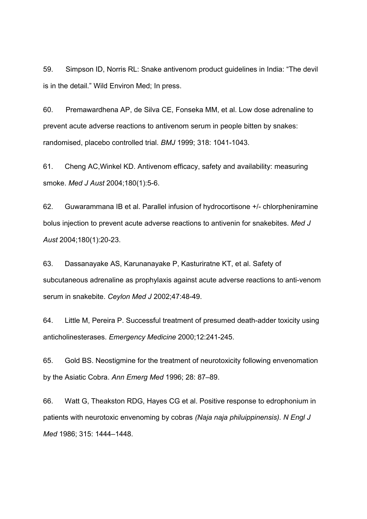59. Simpson ID, Norris RL: Snake antivenom product guidelines in India: "The devil is in the detail." Wild Environ Med; In press.

60. Premawardhena AP, de Silva CE, Fonseka MM, et al. Low dose adrenaline to prevent acute adverse reactions to antivenom serum in people bitten by snakes: randomised, placebo controlled trial. *BMJ* 1999; 318: 1041-1043.

61. Cheng AC,Winkel KD. Antivenom efficacy, safety and availability: measuring smoke. *Med J Aust* 2004;180(1):5-6.

62. Guwarammana IB et al. Parallel infusion of hydrocortisone +/- chlorpheniramine bolus injection to prevent acute adverse reactions to antivenin for snakebites. *Med J Aust* 2004;180(1):20-23.

63. Dassanayake AS, Karunanayake P, Kasturiratne KT, et al. Safety of subcutaneous adrenaline as prophylaxis against acute adverse reactions to anti-venom serum in snakebite. *Ceylon Med J* 2002;47:48-49.

64. Little M, Pereira P. Successful treatment of presumed death-adder toxicity using anticholinesterases. *Emergency Medicine* 2000;12:241-245.

65. Gold BS. Neostigmine for the treatment of neurotoxicity following envenomation by the Asiatic Cobra. *Ann Emerg Med* 1996; 28: 87–89.

66. Watt G, Theakston RDG, Hayes CG et al. Positive response to edrophonium in patients with neurotoxic envenoming by cobras *(Naja naja philuippinensis). N Engl J Med* 1986; 315: 1444–1448.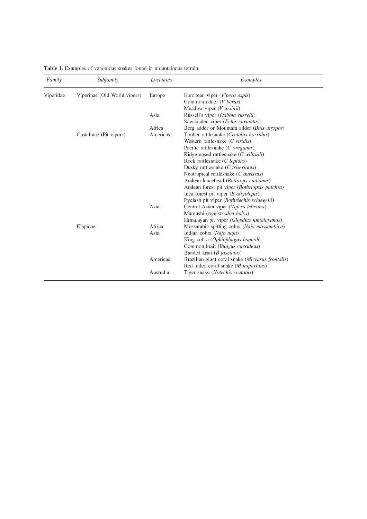| Family    | Subfamily                    | Locations | Examples                                                                                     |
|-----------|------------------------------|-----------|----------------------------------------------------------------------------------------------|
| Viperidae | Viperinae (Old World vipers) | Europe    | European viper (Vipera aspis)<br>Common adder ( <i>V berus</i> )<br>Meadow viper (V ursinii) |
|           |                              | Asia      | Russell's viper (Daboia russelii)                                                            |
|           |                              |           | Saw-scaled viper (Echis carinatus)                                                           |
|           |                              | Africa    | Berg adder or Mountain adder (Bitis atropos)                                                 |
|           | Crotalinae (Pit vipers)      | Americas  | Timber rattlesnake (Crotalus horridus)                                                       |
|           |                              |           | Western rattlesnake (C viridis)                                                              |
|           |                              |           | Pacific rattlesnake (C oreganus)                                                             |
|           |                              |           | Ridge-nosed rattlesnake (C willardi)                                                         |
|           |                              |           | Rock rattlesnake (C lepidus)                                                                 |
|           |                              |           | Dusky rattlesnake (C triseriatus)                                                            |
|           |                              |           | Neotropical rattlesnake (C durissus)                                                         |
|           |                              |           | Andean lancehead (Bothrops andianus)                                                         |
|           |                              |           | Andean forest pit viper (Bothriopsis pulchra)                                                |
|           |                              |           | Inca forest pit viper (B oligolepis)                                                         |
|           |                              |           | Eyelash pit viper (Bothriechis schlegelii)                                                   |
|           |                              | Asia      | Central Asian viper (Vipera lebetina)                                                        |
|           |                              |           | Mamushi (Agkistrodon halys)                                                                  |
|           |                              |           | Himalayan pit viper (Gloydius himalayanus)                                                   |
|           | Elapidae                     | Africa    | Mossambic spitting cobra (Naja mossambica)                                                   |
|           |                              | Asia      | Indian cobra (Naja naja)                                                                     |
|           |                              |           | King cobra (Ophiophagus hannah)                                                              |
|           |                              |           | Common krait (Bungus caeruleus)                                                              |
|           |                              |           | Banded krait ( <i>B fasciatus</i> )                                                          |
|           |                              | Americas  | Brazilian giant coral snake (Micrurus frontalis)                                             |
|           |                              |           | Red-tailed coral snake (M mipartitus)                                                        |
|           |                              | Australia | Tiger snake ( <i>Notechis scutatus</i> )                                                     |

Table 1. Examples of venomous snakes found in mountainous terrain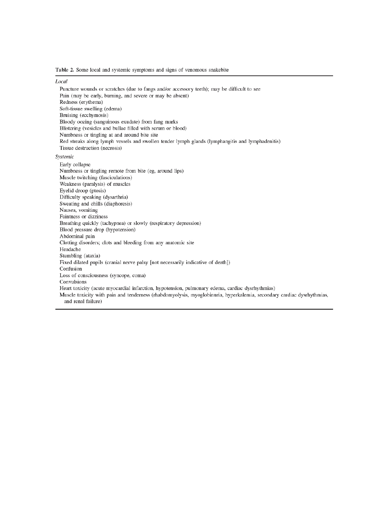#### Table 2. Some local and systemic symptoms and signs of venomous snakebite

Local

Puncture wounds or scratches (due to fangs and/or accessory teeth); may be difficult to see Pain (may be early, burning, and severe or may be absent) Redness (erythema) Soft-tissue swelling (edema) Bruising (ecchymosis) Bloody oozing (sanguinous exudate) from fang marks Blistering (vesicles and bullae filled with serum or blood) Numbness or tingling at and around bite site Red streaks along lymph vessels and swollen tender lymph glands (lymphangitis and lymphadenitis) Tissue destruction (necrosis) Systemic Early collapse Numbness or tingling remote from bite (eg, around lips) Muscle twitching (fasciculations) Weakness (paralysis) of muscles Eyelid droop (ptosis) Difficulty speaking (dysarthria) Sweating and chills (diaphoresis) Nausea, vomiting Faintness or dizziness Breathing quickly (tachypnea) or slowly (respiratory depression) Blood pressure drop (hypotension) Abdominal pain Clotting disorders; clots and bleeding from any anatomic site Headache Stumbling (ataxia) Fixed dilated pupils (cranial nerve palsy [not necessarily indicative of death]) Confusion Loss of consciousness (syncope, coma) Convulsions Heart toxicity (acute myocardial infarction, hypotension, pulmonary edema, cardiac dysrhythmias) Muscle toxicity with pain and tenderness (rhabdomyolysis, myoglobinuria, hyperkalemia, secondary cardiac dysrhythmias, and renal failure)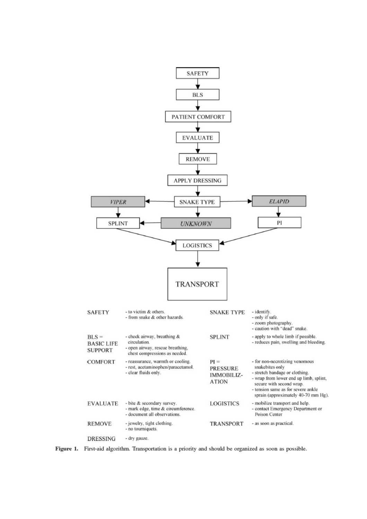

Figure 1. First-aid algorithm. Transportation is a priority and should be organized as soon as possible.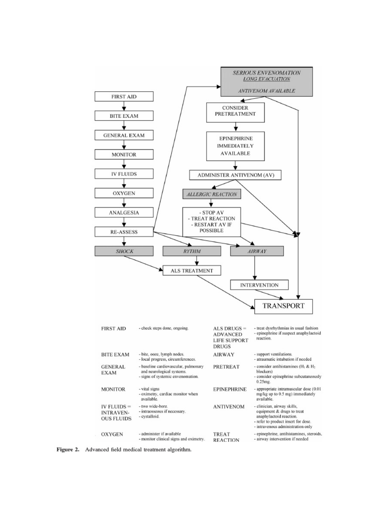

Figure 2. Advanced field medical treatment algorithm.